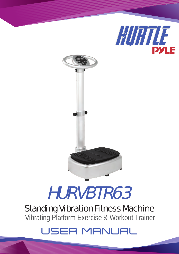



# HURVBTR63

## Standing Vibration Fitness Machine Vibrating Platform Exercise & Workout Trainer

## **USER MANUAL**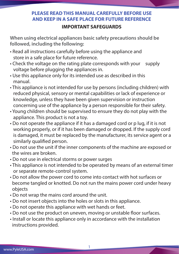### **PLEASE READ THIS MANUAL CAREFULLY BEFORE USE AND KEEP IN A SAFE PLACE FOR FUTURE REFERENCE**

#### **IMPORTANT SAFEGUARDS**

**When using electrical appliances basic safety precautions should be followed, including the following:**

- Read all instructions carefully before using the appliance and store in a safe place for future reference.
- Check the voltage on the rating plate corresponds with your supply voltage before plugging the appliances in.
- Use this appliance only for its intended use as described in this manual.
- This appliance is not intended for use by persons (including children) with reduced physical, sensory or mental capabilities or lack of experience or knowledge, unless they have been given supervision or instruction concerning use of the appliance by a person responsible for their safety.
- Young children should be supervised to ensure they do not play with the appliance. This product is not a toy.
- Do not operate the appliance if it has a damaged cord or p lug, if it is not working properly, or if it has been damaged or dropped. If the supply cord is damaged, it must be replaced by the manufacturer, its service agent or a similarly qualified person.
- Do not use the unit if the inner components of the machine are exposed or the wires are broken.
- Do not use in electrical storms or power surges
- This appliance is not intended to be operated by means of an external timer or separate remote-control system.
- Do not allow the power cord to come into contact with hot surfaces or become tangled or knotted. Do not run the mains power cord under heavy objects
- Do not wrap the mains cord around the unit.
- Do not insert objects into the holes or slots in this appliance.
- Do not operate this appliance with wet hands or feet.
- Do not use the product on uneven, moving or unstable floor surfaces.
- Install or locate this appliance only in accordance with the installation instructions provided.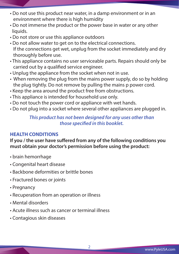- Do not use this product near water, in a damp environment or in an environment where there is high humidity
- Do not immerse the product or the power base in water or any other liquids.
- Do not store or use this appliance outdoors
- Do not allow water to get on to the electrical connections. If the connections get wet, unplug from the socket immediately and dry thoroughly before use.
- This appliance contains no user serviceable parts. Repairs should only be carried out by a qualified service engineer.
- Unplug the appliance from the socket when not in use.
- When removing the plug from the mains power supply, do so by holding the plug tightly. Do not remove by pulling the mains p power cord.
- Keep the area around the product free from obstructions.
- This appliance is intended for household use only.
- Do not touch the power cord or appliance with wet hands.
- Do not plug into a socket where several other appliances are plugged in.

#### *This product has not been designed for any uses other than those specified in this booklet.*

#### **HEALTH CONDITIONS**

If you / the user have suffered from any of the following conditions you **must obtain your doctor's permission before using the product:**

- brain hemorrhage
- Congenital heart disease
- Backbone deformities or brittle bones
- Fractured bones or joints
- Pregnancy
- Recuperation from an operation or illness
- Mental disorders
- Acute illness such as cancer or terminal illness
- Contagious skin diseases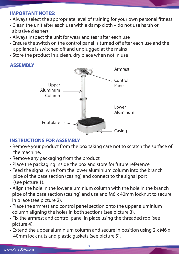#### **IMPORTANT NOTES:**

- Always select the appropriate level of training for your own personal fitness
- Clean the unit after each use with a damp cloth do not use harsh or abrasive cleaners
- Always inspect the unit for wear and tear after each use
- Ensure the switch on the control panel is turned off after each use and the appliance is switched off and unplugged at the mains
- Store the product in a clean, dry place when not in use

#### **ASSEMBLY**



#### **INSTRUCTIONS FOR ASSEMBLY**

- Remove your product from the box taking care not to scratch the surface of the machine.
- Remove any packaging from the product
- Place the packaging inside the box and store for future reference
- Feed the signal wire from the lower aluminium column into the branch pipe of the base section (casing) and connect to the signal port (see picture 1).
- Align the hole in the lower aluminium column with the hole in the branch pipe of the base section (casing) and use and M6 x 40mm locknut to secure in p lace (see picture 2).
- Place the armrest and control panel section onto the upper aluminium column aligning the holes in both sections (see picture 3).
- Fix the armrest and control panel in place using the threaded rob (see picture 4).
- Extend the upper aluminium column and secure in position using 2 x M6 x 40mm lock nuts and plastic gaskets (see picture 5).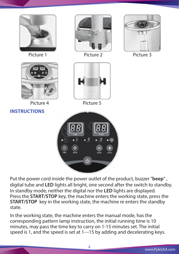

Put the power cord inside the power outlet of the product, buzzer "**beep**" , digital tube and **LED** lights all bright, one second after the switch to standby. In standby mode, neither the digital nor the **LED** lights are displayed. Press the **START/STOP** key, the machine enters the working state, press the **START/STOP** key in the working state, the machine re enters the standby state.

In the working state, the machine enters the manual mode, has the corresponding pattern lamp instruction, the initial running time is 10 minutes, may pass the time key to carry on 1-15 minutes set. The initial speed is 1, and the speed is set at 1---15 by adding and decelerating keys.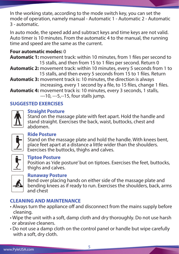In the working state, according to the mode switch key, you can set the mode of operation, namely manual - Automatic 1 - Automatic 2 - Automatic 3 - automatic.

In auto mode, the speed add and subtract keys and time keys are not valid. Auto timer is 10 minutes. From the automatic 4 to the manual, the running time and speed are the same as the current.

#### **Four automatic modes:** 0

**Automatic 1:** movement track: within 10 minutes, from 1 files per second to 15 stalls, and then from 15 to 1 files per second. Return 0 **Automatic 2:** movement track: within 10 minutes, every 5 seconds from 1 to 15 stalls, and then every 5 seconds from 15 to 1 files. Return **Automatic 3:** movement track is: 10 minutes, the direction is always increasing, every 1 second by a file, to 15 files, change 1 files. **Automatic 4:** movement track is: 10 minutes, every 3 seconds, 1 stalls, ---10, ---5,--15, four stalls jump.

#### **SUGGESTED EXERCISES**



#### **Straight Posture**

Stand on the massage plate with feet apart. Hold the handle and stand straight. Exercises the back, waist, buttocks, chest and abdomen.



#### **Ride Posture**

Stand on the massage plate and hold the handle. With knees bent, place feet apart at a distance a little wider than the shoulders. Exercises the buttocks, thighs and calves.



#### **Tiptoe Posture**

Position as 'ride posture' but on tiptoes. Exercises the feet, buttocks, thighs and calves.



#### **Runaway Posture**

Bend over placing hands on either side of the massage plate and bending knees as if ready to run. Exercises the shoulders, back, arms and chest

#### **CLEANING AND MAINTENANCE**

- Always turn the appliance off and disconnect from the mains supply before cleaning.
- Wipe the unit with a soft, damp cloth and dry thoroughly. Do not use harsh or abrasive cleaners.
- Do not use a damp cloth on the control panel or handle but wipe carefully with a soft, dry cloth.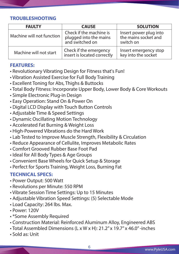#### **TROUBLESHOOTING**

| <b>FAULTY</b>             | <b>CAUSE</b>                                                         | <b>SOLUTION</b>                                             |
|---------------------------|----------------------------------------------------------------------|-------------------------------------------------------------|
| Machine will not function | Check if the machine is<br>plugged into the mains<br>and switched on | Insert power plug into<br>the mains socket and<br>switch on |
| Machine will not start    | Check if the emergency<br>insert is located correctly                | Insert emergency stop<br>key into the socket                |

#### **FEATURES:**

- Revolutionary Vibrating Design for Fitness that's Fun!
- Vibration Assisted Exercise for Full Body Training
- Excellent Toning for Abs, Thighs & Buttocks
- Total Body Fitness: Incorporate Upper Body, Lower Body & Core Workouts
- Simple Electronic Plug-in Design
- Easy Operation: Stand On & Power On
- Digital LCD Display with Touch Button Controls
- Adjustable Time & Speed Settings
- Dynamic Oscillating Motion Technology
- Accelerated Fat Burning & Weight Loss
- High-Powered Vibrations do the Hard Work
- Lab Tested to Improve Muscle Strength, Flexibility & Circulation
- Reduce Appearance of Cellulite, Improves Metabolic Rates
- Comfort Grooved Rubber Base Foot Pad
- Ideal for All Body Types & Age Groups
- Convenient Base Wheels for Quick Setup & Storage
- Perfect for Sports Training, Weight Loss, Burning Fat

#### **TECHNICAL SPECS:**

- Power Output: 500 Watt
- Revolutions per Minute: 550 RPM
- Vibrate Session Time Settings: Up to 15 Minutes
- Adjustable Vibration Speed Settings: (5) Selectable Mode
- Load Capacity: 264 lbs. Max.
- Power: 120V
- \*Some Assembly Required
- Construction Material: Reinforced Aluminum Alloy, Engineered ABS
- Total Assembled Dimensions (L x W x H): 21.2'' x 19.7'' x 46.0'' -inches
- Sold as: Unit